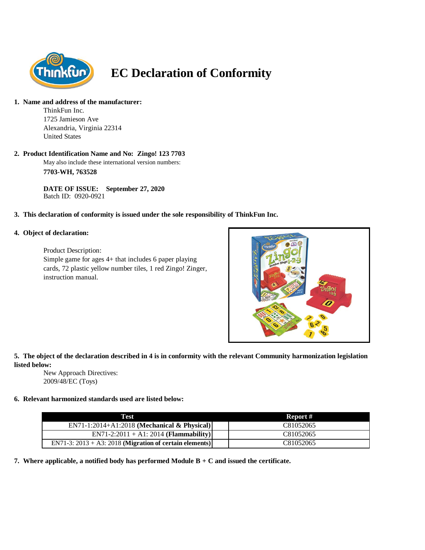

# **EC Declaration of Conformity**

#### **1. Name and address of the manufacturer:**

ThinkFun Inc. 1725 Jamieson Ave Alexandria, Virginia 22314 United States

# **2. Product Identification Name and No: Zingo! 123 7703**

May also include these international version numbers: **7703-WH, 763528**

**DATE OF ISSUE: September 27, 2020** Batch ID: 0920-0921

# **3. This declaration of conformity is issued under the sole responsibility of ThinkFun Inc.**

#### **4. Object of declaration:**

Product Description: Simple game for ages 4+ that includes 6 paper playing cards, 72 plastic yellow number tiles, 1 red Zingo! Zinger, instruction manual.



# **5. The object of the declaration described in 4 is in conformity with the relevant Community harmonization legislation listed below:**

New Approach Directives: 2009/48/EC (Toys)

# **6. Relevant harmonized standards used are listed below:**

| Test                                                       | Report #  |
|------------------------------------------------------------|-----------|
| EN71-1:2014+A1:2018 (Mechanical & Physical)                | C81052065 |
| $EN71-2:2011 + A1:2014 (Flammaibility)$                    | C81052065 |
| EN71-3: $2013 + A3$ : 2018 (Migration of certain elements) | C81052065 |

**7. Where applicable, a notified body has performed Module B + C and issued the certificate.**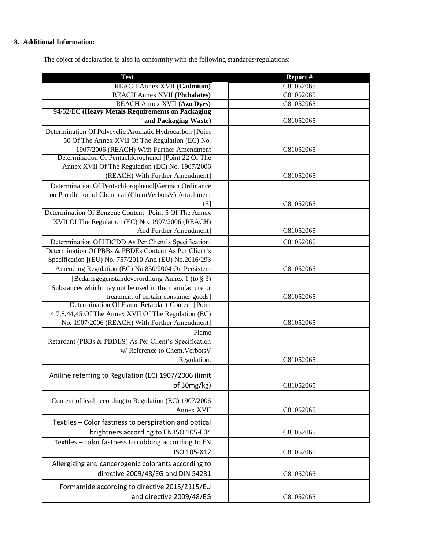# **8. Additional Information:**

The object of declaration is also in conformity with the following standards/regulations:

| <b>Test</b>                                             | Report #  |
|---------------------------------------------------------|-----------|
| <b>REACH Annex XVII (Cadmium)</b>                       | C81052065 |
| <b>REACH Annex XVII (Phthalates)</b>                    | C81052065 |
| <b>REACH Annex XVII (Azo Dyes)</b>                      | C81052065 |
| 94/62/EC (Heavy Metals Requirements on Packaging        |           |
| and Packaging Waste)                                    | C81052065 |
| Determination Of Polycyclic Aromatic Hydrocarbon [Point |           |
| 50 Of The Annex XVII Of The Regulation (EC) No.         |           |
| 1907/2006 (REACH) With Further Amendment                | C81052065 |
| Determination Of Pentachlorophenol [Point 22 Of The     |           |
| Annex XVII Of The Regulation (EC) No. 1907/2006         |           |
| (REACH) With Further Amendment]                         | C81052065 |
| Determination Of Pentachlorophenol[German Ordinance     |           |
| on Prohibition of Chemical (ChemVerbotsV) Attachment    |           |
| 15]                                                     | C81052065 |
| Determination Of Benzene Content [Point 5 Of The Annex  |           |
| XVII Of The Regulation (EC) No. 1907/2006 (REACH)       |           |
| And Further Amendment]                                  | C81052065 |
| Determination Of HBCDD As Per Client's Specification.   | C81052065 |
| Determination Of PBBs & PBDEs Content As Per Client's   |           |
| Specification [(EU) No. 757/2010 And (EU) No.2016/293   |           |
| Amending Regulation (EC) No 850/2004 On Persistent      | C81052065 |
| [Bedarfsgegenständeverordnung Annex 1 (to § 3)]         |           |
| Substances which may not be used in the manufacture or  |           |
| treatment of certain consumer goods]                    | C81052065 |
| Determination Of Flame Retardant Content [Point         |           |
| 4,7,8,44,45 Of The Annex XVII Of The Regulation (EC)    |           |
| No. 1907/2006 (REACH) With Further Amendment]           | C81052065 |
| Flame                                                   |           |
| Retardant (PBBs & PBDES) As Per Client's Specification  |           |
| w/ Reference to Chem. Verbots V                         |           |
| Regulation.                                             | C81052065 |
|                                                         |           |
| Aniline referring to Regulation (EC) 1907/2006 (limit   |           |
| of 30mg/kg)                                             | C81052065 |
|                                                         |           |
| Content of lead according to Regulation (EC) 1907/2006  |           |
| Annex XVII                                              | C81052065 |
| Textiles - Color fastness to perspiration and optical   |           |
| brightners according to EN ISO 105-E04                  | C81052065 |
| Textiles - color fastness to rubbing according to EN    |           |
| ISO 105-X12                                             | C81052065 |
| Allergizing and cancerogenic colorants according to     |           |
|                                                         |           |
| directive 2009/48/EG and DIN 54231                      | C81052065 |
| Formamide according to directive 2015/2115/EU           |           |
| and directive 2009/48/EG                                | C81052065 |